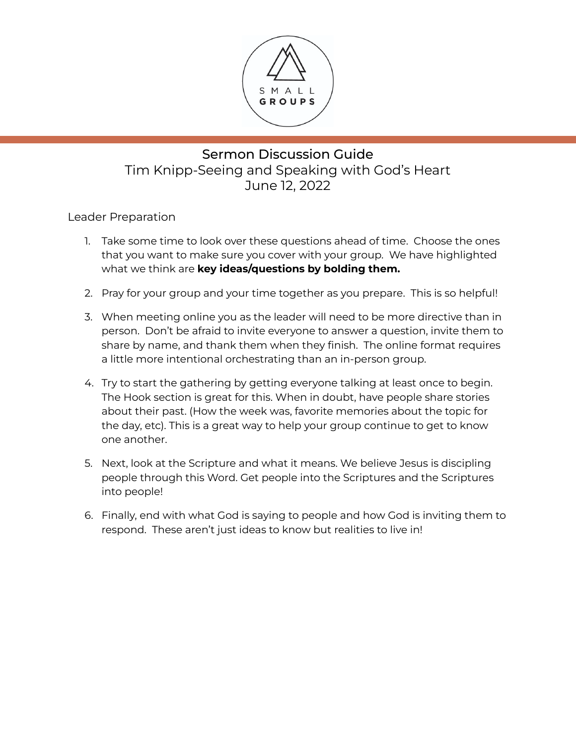

# Sermon Discussion Guide Tim Knipp-Seeing and Speaking with God's Heart June 12, 2022

Leader Preparation

- 1. Take some time to look over these questions ahead of time. Choose the ones that you want to make sure you cover with your group. We have highlighted what we think are **key ideas/questions by bolding them.**
- 2. Pray for your group and your time together as you prepare. This is so helpful!
- 3. When meeting online you as the leader will need to be more directive than in person. Don't be afraid to invite everyone to answer a question, invite them to share by name, and thank them when they finish. The online format requires a little more intentional orchestrating than an in-person group.
- 4. Try to start the gathering by getting everyone talking at least once to begin. The Hook section is great for this. When in doubt, have people share stories about their past. (How the week was, favorite memories about the topic for the day, etc). This is a great way to help your group continue to get to know one another.
- 5. Next, look at the Scripture and what it means. We believe Jesus is discipling people through this Word. Get people into the Scriptures and the Scriptures into people!
- 6. Finally, end with what God is saying to people and how God is inviting them to respond. These aren't just ideas to know but realities to live in!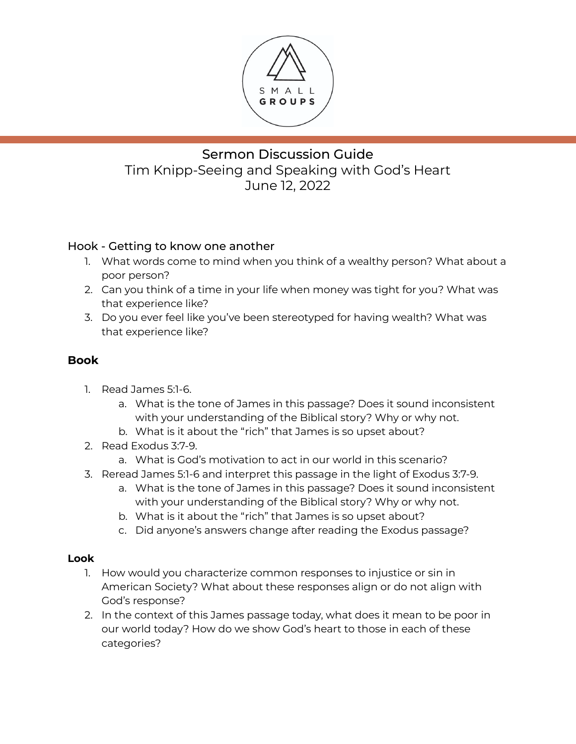

# Sermon Discussion Guide Tim Knipp-Seeing and Speaking with God's Heart June 12, 2022

### Hook - Getting to know one another

- 1. What words come to mind when you think of a wealthy person? What about a poor person?
- 2. Can you think of a time in your life when money was tight for you? What was that experience like?
- 3. Do you ever feel like you've been stereotyped for having wealth? What was that experience like?

### **Book**

- 1. Read James 5:1-6.
	- a. What is the tone of James in this passage? Does it sound inconsistent with your understanding of the Biblical story? Why or why not.
	- b. What is it about the "rich" that James is so upset about?
- 2. Read Exodus 3:7-9.
	- a. What is God's motivation to act in our world in this scenario?
- 3. Reread James 5:1-6 and interpret this passage in the light of Exodus 3:7-9.
	- a. What is the tone of James in this passage? Does it sound inconsistent with your understanding of the Biblical story? Why or why not.
	- b. What is it about the "rich" that James is so upset about?
	- c. Did anyone's answers change after reading the Exodus passage?

#### **Look**

- 1. How would you characterize common responses to injustice or sin in American Society? What about these responses align or do not align with God's response?
- 2. In the context of this James passage today, what does it mean to be poor in our world today? How do we show God's heart to those in each of these categories?